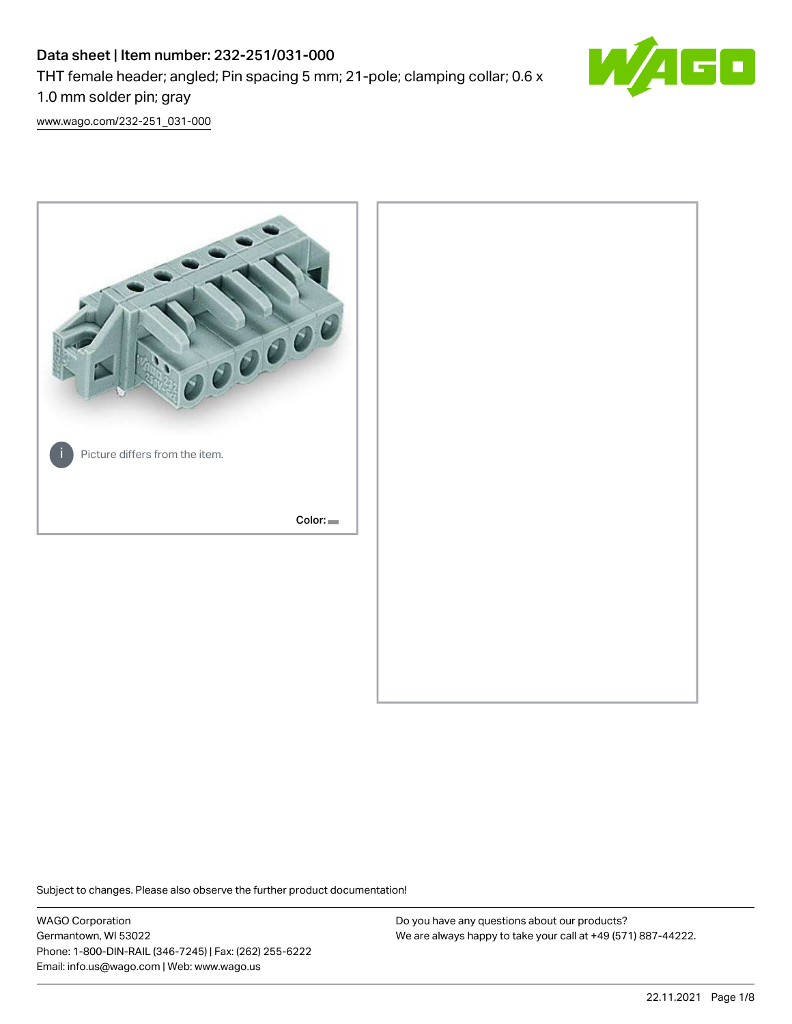## Data sheet | Item number: 232-251/031-000 THT female header; angled; Pin spacing 5 mm; 21-pole; clamping collar; 0.6 x 1.0 mm solder pin; gray



[www.wago.com/232-251\\_031-000](http://www.wago.com/232-251_031-000)



Subject to changes. Please also observe the further product documentation!

WAGO Corporation Germantown, WI 53022 Phone: 1-800-DIN-RAIL (346-7245) | Fax: (262) 255-6222 Email: info.us@wago.com | Web: www.wago.us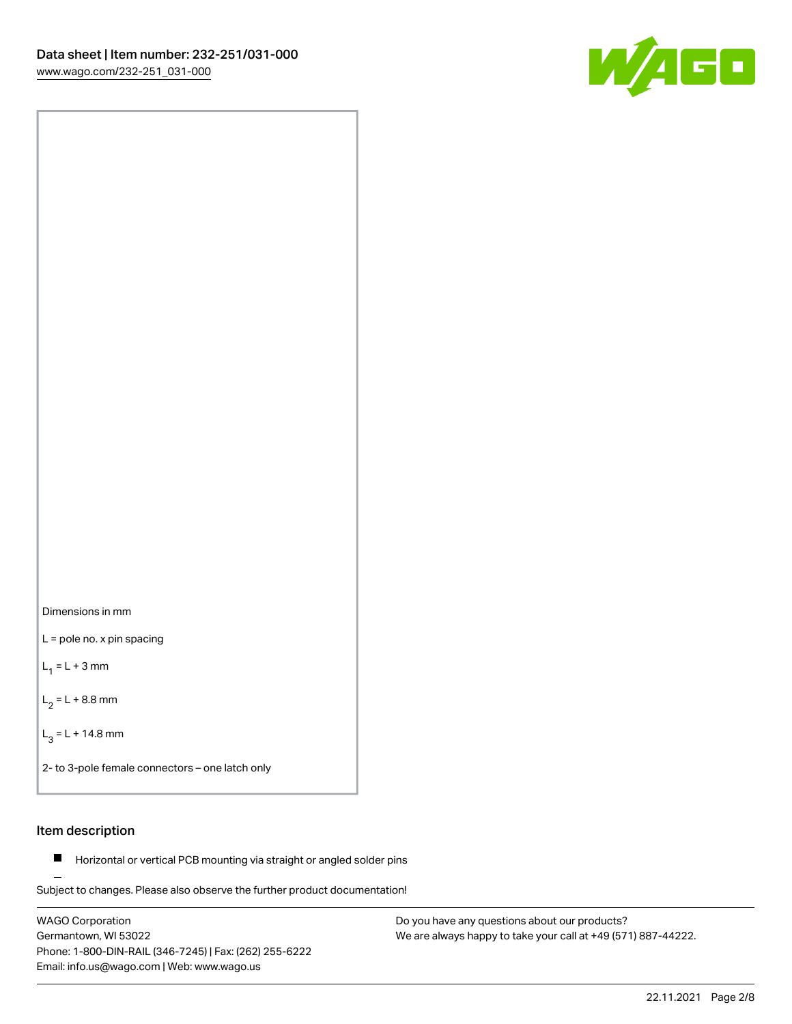



L = pole no. x pin spacing

 $L_1 = L + 3$  mm

 $L_2 = L + 8.8$  mm

 $L_3 = L + 14.8$  mm

2- to 3-pole female connectors – one latch only

## Item description

**Horizontal or vertical PCB mounting via straight or angled solder pins** 

Subject to changes. Please also observe the further product documentation! For board-to-board and board-to-wire connections

WAGO Corporation Germantown, WI 53022 Phone: 1-800-DIN-RAIL (346-7245) | Fax: (262) 255-6222 Email: info.us@wago.com | Web: www.wago.us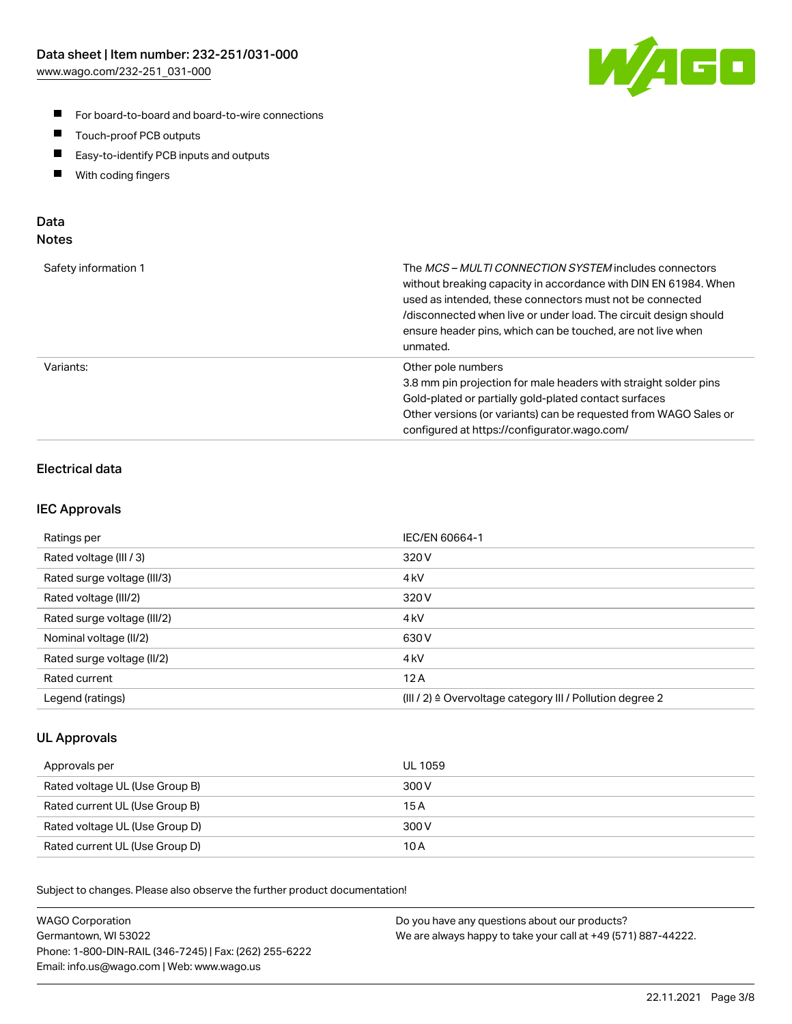

- For board-to-board and board-to-wire connections
- $\blacksquare$ Touch-proof PCB outputs
- $\blacksquare$ Easy-to-identify PCB inputs and outputs
- $\blacksquare$ With coding fingers

#### Data **Notes**

| Safety information 1 | The <i>MCS – MULTI CONNECTION SYSTEM</i> includes connectors<br>without breaking capacity in accordance with DIN EN 61984. When<br>used as intended, these connectors must not be connected<br>/disconnected when live or under load. The circuit design should<br>ensure header pins, which can be touched, are not live when<br>unmated. |
|----------------------|--------------------------------------------------------------------------------------------------------------------------------------------------------------------------------------------------------------------------------------------------------------------------------------------------------------------------------------------|
| Variants:            | Other pole numbers<br>3.8 mm pin projection for male headers with straight solder pins<br>Gold-plated or partially gold-plated contact surfaces<br>Other versions (or variants) can be requested from WAGO Sales or<br>configured at https://configurator.wago.com/                                                                        |

## Electrical data

#### IEC Approvals

| Ratings per                 | IEC/EN 60664-1                                                        |
|-----------------------------|-----------------------------------------------------------------------|
| Rated voltage (III / 3)     | 320 V                                                                 |
| Rated surge voltage (III/3) | 4 <sub>k</sub> V                                                      |
| Rated voltage (III/2)       | 320 V                                                                 |
| Rated surge voltage (III/2) | 4 <sub>k</sub> V                                                      |
| Nominal voltage (II/2)      | 630 V                                                                 |
| Rated surge voltage (II/2)  | 4 <sub>kV</sub>                                                       |
| Rated current               | 12A                                                                   |
| Legend (ratings)            | $(III / 2)$ $\triangle$ Overvoltage category III / Pollution degree 2 |

#### UL Approvals

| Approvals per                  | UL 1059 |
|--------------------------------|---------|
| Rated voltage UL (Use Group B) | 300 V   |
| Rated current UL (Use Group B) | 15 A    |
| Rated voltage UL (Use Group D) | 300 V   |
| Rated current UL (Use Group D) | 10 A    |

Subject to changes. Please also observe the further product documentation!

| <b>WAGO Corporation</b>                                | Do you have any questions about our products?                 |
|--------------------------------------------------------|---------------------------------------------------------------|
| Germantown, WI 53022                                   | We are always happy to take your call at +49 (571) 887-44222. |
| Phone: 1-800-DIN-RAIL (346-7245)   Fax: (262) 255-6222 |                                                               |
| Email: info.us@wago.com   Web: www.wago.us             |                                                               |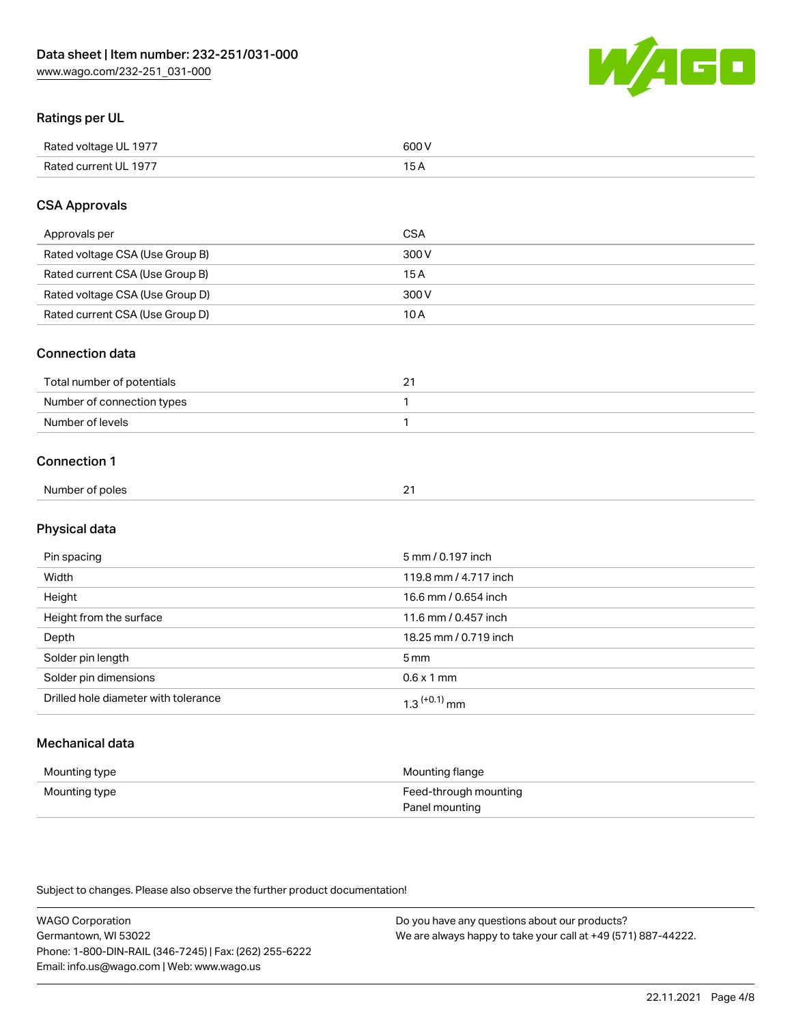

## Ratings per UL

| Rated voltage UL 1977                | COO V<br>ור |
|--------------------------------------|-------------|
| <b>Rated</b><br>UL 1977<br>curront l | _____       |

## CSA Approvals

| Approvals per                   | CSA   |
|---------------------------------|-------|
| Rated voltage CSA (Use Group B) | 300 V |
| Rated current CSA (Use Group B) | 15 A  |
| Rated voltage CSA (Use Group D) | 300 V |
| Rated current CSA (Use Group D) | 10 A  |

#### Connection data

| Total number of potentials |  |
|----------------------------|--|
| Number of connection types |  |
| Number of levels           |  |

#### Connection 1

| Number of poles | $\sim$<br>- |
|-----------------|-------------|
|                 |             |

## Physical data

| Pin spacing                          | 5 mm / 0.197 inch          |
|--------------------------------------|----------------------------|
| Width                                | 119.8 mm / 4.717 inch      |
| Height                               | 16.6 mm / 0.654 inch       |
| Height from the surface              | 11.6 mm / 0.457 inch       |
| Depth                                | 18.25 mm / 0.719 inch      |
| Solder pin length                    | 5 mm                       |
| Solder pin dimensions                | $0.6 \times 1$ mm          |
| Drilled hole diameter with tolerance | $1.3$ <sup>(+0.1)</sup> mm |

## Mechanical data

| Mounting type | Mounting flange                         |
|---------------|-----------------------------------------|
| Mounting type | Feed-through mounting<br>Panel mounting |

Subject to changes. Please also observe the further product documentation!

| <b>WAGO Corporation</b>                                | Do you have any questions about our products?                 |
|--------------------------------------------------------|---------------------------------------------------------------|
| Germantown, WI 53022                                   | We are always happy to take your call at +49 (571) 887-44222. |
| Phone: 1-800-DIN-RAIL (346-7245)   Fax: (262) 255-6222 |                                                               |
| Email: info.us@wago.com   Web: www.wago.us             |                                                               |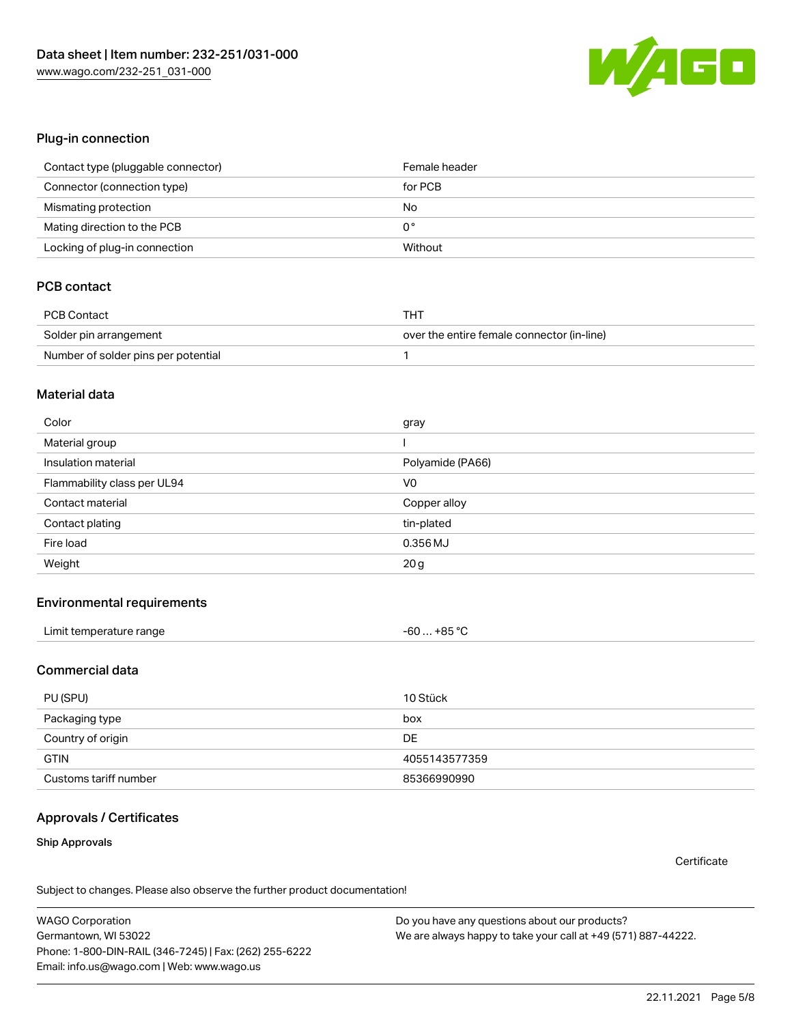

#### Plug-in connection

| Contact type (pluggable connector) | Female header |
|------------------------------------|---------------|
| Connector (connection type)        | for PCB       |
| Mismating protection               | No            |
| Mating direction to the PCB        | 0°            |
| Locking of plug-in connection      | Without       |

## PCB contact

| PCB Contact                         | THT                                        |
|-------------------------------------|--------------------------------------------|
| Solder pin arrangement              | over the entire female connector (in-line) |
| Number of solder pins per potential |                                            |

#### Material data

| Color                       | gray             |
|-----------------------------|------------------|
| Material group              |                  |
| Insulation material         | Polyamide (PA66) |
| Flammability class per UL94 | V <sub>0</sub>   |
| Contact material            | Copper alloy     |
| Contact plating             | tin-plated       |
| Fire load                   | 0.356 MJ         |
| Weight                      | 20 <sub>g</sub>  |

#### Environmental requirements

| Limit temperature range | $-60+85 °C$ |  |
|-------------------------|-------------|--|
|-------------------------|-------------|--|

#### Commercial data

| PU (SPU)              | 10 Stück      |
|-----------------------|---------------|
| Packaging type        | box           |
| Country of origin     | <b>DE</b>     |
| <b>GTIN</b>           | 4055143577359 |
| Customs tariff number | 85366990990   |

#### Approvals / Certificates

#### Ship Approvals

**Certificate** 

Subject to changes. Please also observe the further product documentation!

WAGO Corporation Germantown, WI 53022 Phone: 1-800-DIN-RAIL (346-7245) | Fax: (262) 255-6222 Email: info.us@wago.com | Web: www.wago.us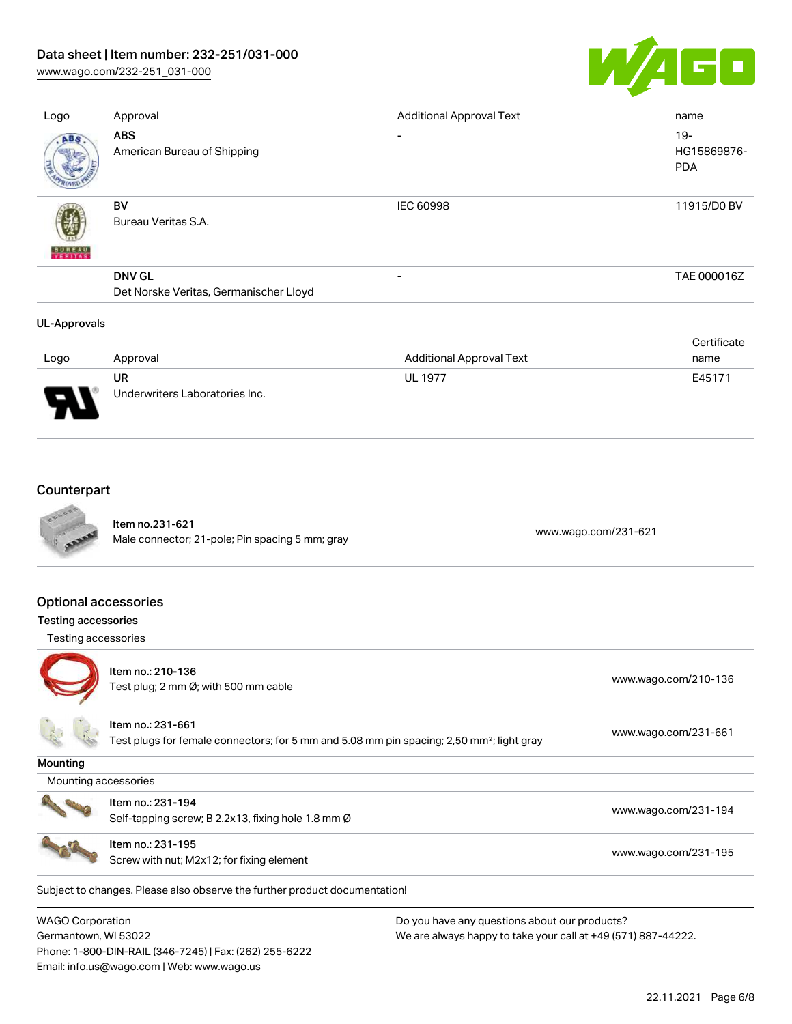[www.wago.com/232-251\\_031-000](http://www.wago.com/232-251_031-000)



| Logo          | Approval                                                | <b>Additional Approval Text</b> | name                                |
|---------------|---------------------------------------------------------|---------------------------------|-------------------------------------|
| ABS.          | <b>ABS</b><br>American Bureau of Shipping               | $\overline{\phantom{0}}$        | $19 -$<br>HG15869876-<br><b>PDA</b> |
| <b>BUREAU</b> | <b>BV</b><br>Bureau Veritas S.A.                        | IEC 60998                       | 11915/D0 BV                         |
|               | <b>DNV GL</b><br>Det Norske Veritas, Germanischer Lloyd | $\overline{\phantom{0}}$        | TAE 000016Z                         |
| UL-Approvals  |                                                         |                                 | Certificate                         |

| Logo                          | Approval                             | <b>Additional Approval Text</b> | name   |
|-------------------------------|--------------------------------------|---------------------------------|--------|
| J<br>$\overline{\phantom{a}}$ | UR<br>Underwriters Laboratories Inc. | <b>UL 1977</b>                  | E45171 |

## **Counterpart**



Item no.231-621 ntermitic.html<br>Male connector; 21-pole; Pin spacing 5 mm; gray [www.wago.com/231-621](https://www.wago.com/231-621)

#### Optional accessories

#### Testing accessories





Item no.: 210-136 ntem no.: 210 100<br>Test plug; 2 mm Ø; with 500 mm cable [www.wago.com/210-136](http://www.wago.com/210-136)

#### Item no.: 231-661

Test plugs for female connectors; for 5 mm and 5.08 mm pin spacing; 2,50 mm²; light gray [www.wago.com/231-661](http://www.wago.com/231-661)

Mounting

Mounting accessories



Self-tapping screw; B 2.2x13, fixing hole 1.8 mm Ø [www.wago.com/231-194](http://www.wago.com/231-194)



Item no.: 231-195 Screw with nut; M2x12; for fixing element [www.wago.com/231-195](http://www.wago.com/231-195)

Subject to changes. Please also observe the further product documentation!

WAGO Corporation Germantown, WI 53022 Phone: 1-800-DIN-RAIL (346-7245) | Fax: (262) 255-6222 Email: info.us@wago.com | Web: www.wago.us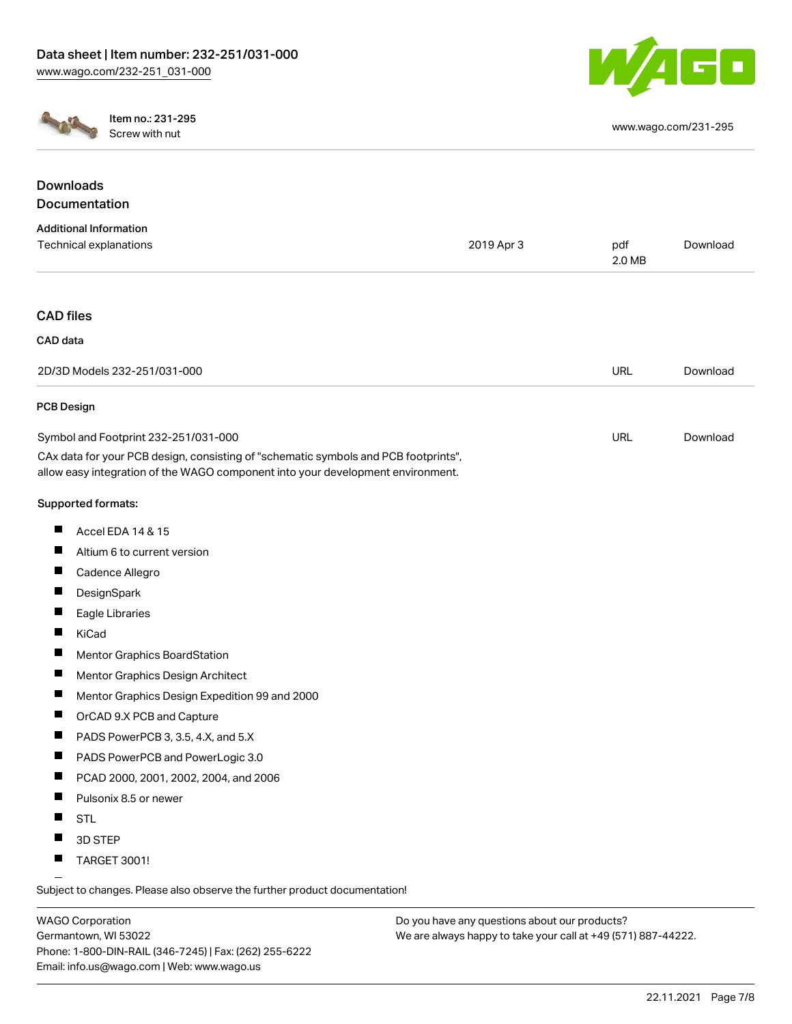



Item no.: 231-295 Screw with nut [www.wago.com/231-295](http://www.wago.com/231-295)

| <b>Downloads</b>                                                                                                                                                       |            |               |          |
|------------------------------------------------------------------------------------------------------------------------------------------------------------------------|------------|---------------|----------|
| Documentation                                                                                                                                                          |            |               |          |
| <b>Additional Information</b>                                                                                                                                          |            |               |          |
| Technical explanations                                                                                                                                                 | 2019 Apr 3 | pdf<br>2.0 MB | Download |
| <b>CAD</b> files                                                                                                                                                       |            |               |          |
| CAD data                                                                                                                                                               |            |               |          |
| 2D/3D Models 232-251/031-000                                                                                                                                           |            | <b>URL</b>    | Download |
| PCB Design                                                                                                                                                             |            |               |          |
| Symbol and Footprint 232-251/031-000                                                                                                                                   |            | URL           | Download |
| CAx data for your PCB design, consisting of "schematic symbols and PCB footprints",<br>allow easy integration of the WAGO component into your development environment. |            |               |          |
| Supported formats:                                                                                                                                                     |            |               |          |
| Accel EDA 14 & 15<br>ш                                                                                                                                                 |            |               |          |
| Altium 6 to current version                                                                                                                                            |            |               |          |
| Cadence Allegro                                                                                                                                                        |            |               |          |
| DesignSpark                                                                                                                                                            |            |               |          |
| Eagle Libraries                                                                                                                                                        |            |               |          |
| KiCad                                                                                                                                                                  |            |               |          |
| Mentor Graphics BoardStation                                                                                                                                           |            |               |          |
| ш<br>Mentor Graphics Design Architect                                                                                                                                  |            |               |          |
| Mentor Graphics Design Expedition 99 and 2000                                                                                                                          |            |               |          |
| OrCAD 9.X PCB and Capture                                                                                                                                              |            |               |          |
| PADS PowerPCB 3, 3.5, 4.X, and 5.X                                                                                                                                     |            |               |          |
| PADS PowerPCB and PowerLogic 3.0                                                                                                                                       |            |               |          |
| PCAD 2000, 2001, 2002, 2004, and 2006<br>ш                                                                                                                             |            |               |          |
| Pulsonix 8.5 or newer                                                                                                                                                  |            |               |          |
| <b>STL</b>                                                                                                                                                             |            |               |          |
| 3D STEP                                                                                                                                                                |            |               |          |
| <b>TARGET 3001!</b>                                                                                                                                                    |            |               |          |

Subject to changes. Please also observe the further product documentation!

WAGO Corporation Germantown, WI 53022 Phone: 1-800-DIN-RAIL (346-7245) | Fax: (262) 255-6222 Email: info.us@wago.com | Web: www.wago.us